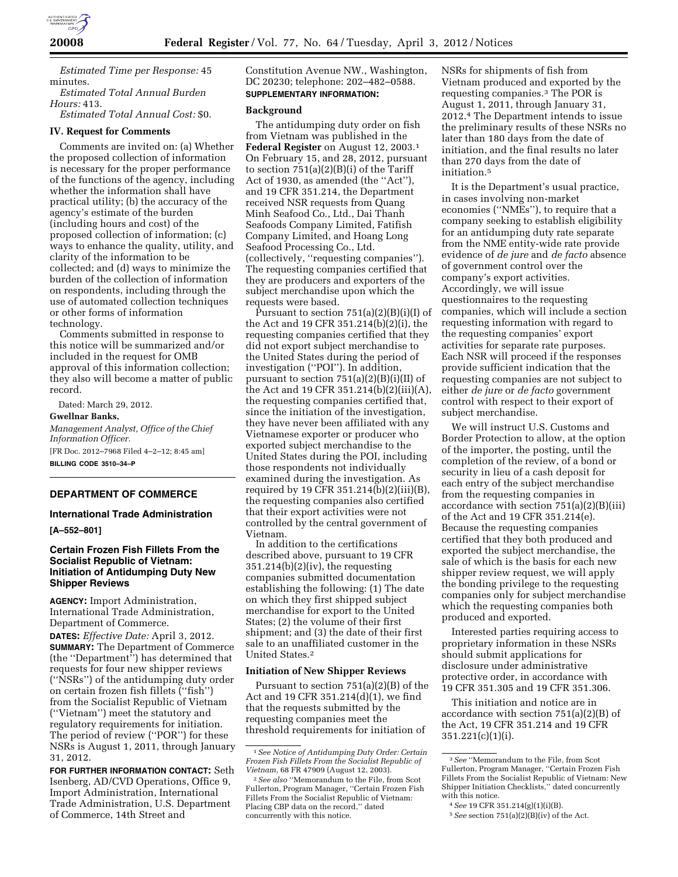

*Estimated Time per Response:* 45 minutes.

*Estimated Total Annual Burden Hours:* 413.

*Estimated Total Annual Cost:* \$0.

## **IV. Request for Comments**

Comments are invited on: (a) Whether the proposed collection of information is necessary for the proper performance of the functions of the agency, including whether the information shall have practical utility; (b) the accuracy of the agency's estimate of the burden (including hours and cost) of the proposed collection of information; (c) ways to enhance the quality, utility, and clarity of the information to be collected; and (d) ways to minimize the burden of the collection of information on respondents, including through the use of automated collection techniques or other forms of information technology.

Comments submitted in response to this notice will be summarized and/or included in the request for OMB approval of this information collection; they also will become a matter of public record.

Dated: March 29, 2012.

**Gwellnar Banks,** 

*Management Analyst, Office of the Chief Information Officer.*  [FR Doc. 2012–7968 Filed 4–2–12; 8:45 am] **BILLING CODE 3510–34–P** 

## **DEPARTMENT OF COMMERCE**

## **International Trade Administration**

**[A–552–801]** 

## **Certain Frozen Fish Fillets From the Socialist Republic of Vietnam: Initiation of Antidumping Duty New Shipper Reviews**

**AGENCY:** Import Administration, International Trade Administration, Department of Commerce.

**DATES:** *Effective Date:* April 3, 2012. **SUMMARY:** The Department of Commerce (the ''Department'') has determined that requests for four new shipper reviews (''NSRs'') of the antidumping duty order on certain frozen fish fillets (''fish'') from the Socialist Republic of Vietnam (''Vietnam'') meet the statutory and regulatory requirements for initiation. The period of review (''POR'') for these NSRs is August 1, 2011, through January 31, 2012.

**FOR FURTHER INFORMATION CONTACT:** Seth Isenberg, AD/CVD Operations, Office 9, Import Administration, International Trade Administration, U.S. Department of Commerce, 14th Street and

Constitution Avenue NW., Washington, DC 20230; telephone: 202–482–0588. **SUPPLEMENTARY INFORMATION:** 

#### **Background**

The antidumping duty order on fish from Vietnam was published in the **Federal Register** on August 12, 2003.1 On February 15, and 28, 2012, pursuant to section  $751(a)(2)(B)(i)$  of the Tariff Act of 1930, as amended (the ''Act''), and 19 CFR 351.214, the Department received NSR requests from Quang Minh Seafood Co., Ltd., Dai Thanh Seafoods Company Limited, Fatifish Company Limited, and Hoang Long Seafood Processing Co., Ltd. (collectively, ''requesting companies''). The requesting companies certified that they are producers and exporters of the subject merchandise upon which the requests were based.

Pursuant to section  $751(a)(2)(B)(i)(I)$  of the Act and 19 CFR 351.214(b)(2)(i), the requesting companies certified that they did not export subject merchandise to the United States during the period of investigation (''POI''). In addition, pursuant to section 751(a)(2)(B)(i)(II) of the Act and 19 CFR 351.214(b)(2)(iii)(A), the requesting companies certified that, since the initiation of the investigation, they have never been affiliated with any Vietnamese exporter or producer who exported subject merchandise to the United States during the POI, including those respondents not individually examined during the investigation. As required by 19 CFR 351.214(b)(2)(iii)(B), the requesting companies also certified that their export activities were not controlled by the central government of Vietnam.

In addition to the certifications described above, pursuant to 19 CFR  $351.214(b)(2)(iv)$ , the requesting companies submitted documentation establishing the following: (1) The date on which they first shipped subject merchandise for export to the United States; (2) the volume of their first shipment; and (3) the date of their first sale to an unaffiliated customer in the United States.2

#### **Initiation of New Shipper Reviews**

Pursuant to section 751(a)(2)(B) of the Act and 19 CFR 351.214(d)(1), we find that the requests submitted by the requesting companies meet the threshold requirements for initiation of

NSRs for shipments of fish from Vietnam produced and exported by the requesting companies.3 The POR is August 1, 2011, through January 31, 2012.4 The Department intends to issue the preliminary results of these NSRs no later than 180 days from the date of initiation, and the final results no later than 270 days from the date of initiation.5

It is the Department's usual practice, in cases involving non-market economies (''NMEs''), to require that a company seeking to establish eligibility for an antidumping duty rate separate from the NME entity-wide rate provide evidence of *de jure* and *de facto* absence of government control over the company's export activities. Accordingly, we will issue questionnaires to the requesting companies, which will include a section requesting information with regard to the requesting companies' export activities for separate rate purposes. Each NSR will proceed if the responses provide sufficient indication that the requesting companies are not subject to either *de jure* or *de facto* government control with respect to their export of subject merchandise.

We will instruct U.S. Customs and Border Protection to allow, at the option of the importer, the posting, until the completion of the review, of a bond or security in lieu of a cash deposit for each entry of the subject merchandise from the requesting companies in accordance with section  $751(a)(2)(B)(iii)$ of the Act and 19 CFR 351.214(e). Because the requesting companies certified that they both produced and exported the subject merchandise, the sale of which is the basis for each new shipper review request, we will apply the bonding privilege to the requesting companies only for subject merchandise which the requesting companies both produced and exported.

Interested parties requiring access to proprietary information in these NSRs should submit applications for disclosure under administrative protective order, in accordance with 19 CFR 351.305 and 19 CFR 351.306.

This initiation and notice are in accordance with section 751(a)(2)(B) of the Act, 19 CFR 351.214 and 19 CFR 351.221(c)(1)(i).

<sup>1</sup>*See Notice of Antidumping Duty Order: Certain Frozen Fish Fillets From the Socialist Republic of Vietnam,* 68 FR 47909 (August 12, 2003).

<sup>2</sup>*See also* ''Memorandum to the File, from Scot Fullerton, Program Manager, ''Certain Frozen Fish Fillets From the Socialist Republic of Vietnam: Placing CBP data on the record,'' dated concurrently with this notice.

<sup>3</sup>*See* ''Memorandum to the File, from Scot Fullerton, Program Manager, ''Certain Frozen Fish Fillets From the Socialist Republic of Vietnam: New Shipper Initiation Checklists,'' dated concurrently with this notice.

<sup>4</sup>*See* 19 CFR 351.214(g)(1)(i)(B).

<sup>5</sup>*See* section 751(a)(2)(B)(iv) of the Act.